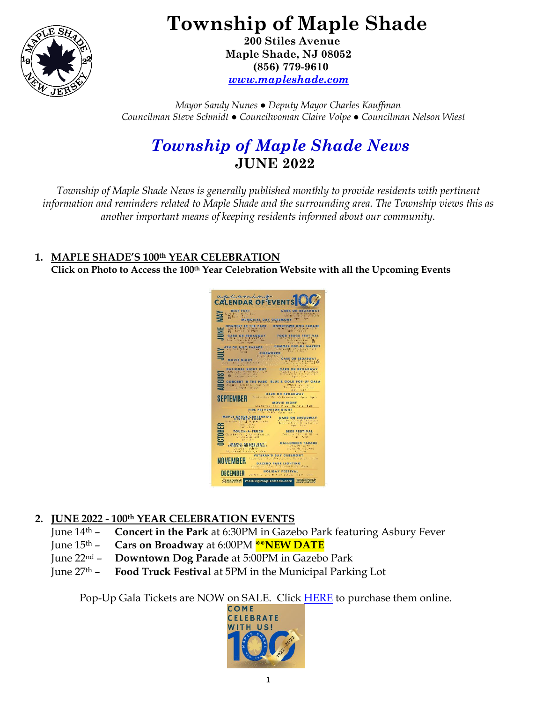

 **Township of Maple Shade**

 **200 Stiles Avenue Maple Shade, NJ 08052 (856) 779-9610**  *[www.mapleshade.com](http://www.mapleshade.com/)*

 *Mayor Sandy Nunes ● Deputy Mayor Charles Kauffman Councilman Steve Schmidt ● Councilwoman Claire Volpe ● Councilman Nelson Wiest*

# *Township of Maple Shade News*  **JUNE 2022**

*Township of Maple Shade News is generally published monthly to provide residents with pertinent information and reminders related to Maple Shade and the surrounding area. The Township views this as another important means of keeping residents informed about our community.*

## **1. MAPLE SHADE'S 100th YEAR CELEBRATION Click on Photo to Access the 100th Year Celebration Website with all the Upcoming Events**



# **2. JUNE 2022 - 100th YEAR CELEBRATION EVENTS**

- June 14th **Concert in the Park** at 6:30PM in Gazebo Park featuring Asbury Fever
- June 15th **Cars on Broadway** at 6:00PM **\*\*NEW DATE**
- June 22nd **Downtown Dog Parade** at 5:00PM in Gazebo Park
- June 27th **Food Truck Festival** at 5PM in the Municipal Parking Lot

Pop-Up Gala Tickets are NOW on SALE. Click [HERE](https://sites.google.com/msemail.org/ms100/pop-up-gala?authuser=0) to purchase them online.

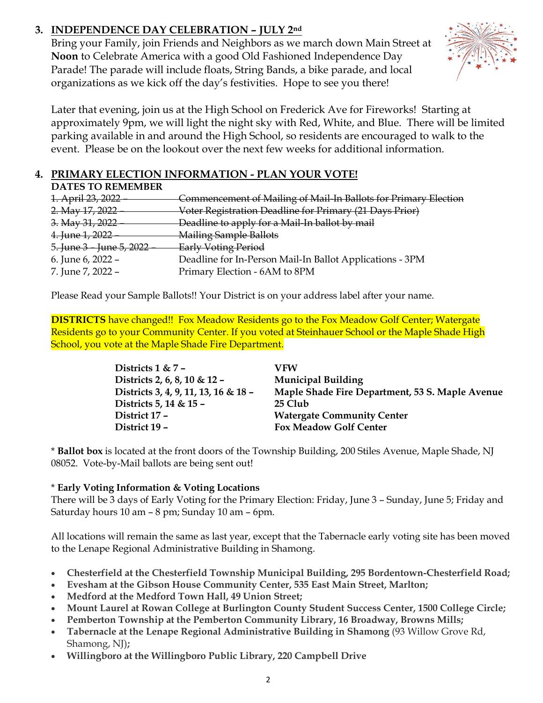# **3. INDEPENDENCE DAY CELEBRATION – JULY 2nd**

Bring your Family, join Friends and Neighbors as we march down Main Street at **Noon** to Celebrate America with a good Old Fashioned Independence Day Parade! The parade will include floats, String Bands, a bike parade, and local organizations as we kick off the day's festivities. Hope to see you there!



Later that evening, join us at the High School on Frederick Ave for Fireworks! Starting at approximately 9pm, we will light the night sky with Red, White, and Blue. There will be limited parking available in and around the High School, so residents are encouraged to walk to the event. Please be on the lookout over the next few weeks for additional information.

# **4. PRIMARY ELECTION INFORMATION - PLAN YOUR VOTE!**

| <b>DATES TO REMEMBER</b> |                                                                 |
|--------------------------|-----------------------------------------------------------------|
| 1. April 23, 2022        | Commencement of Mailing of Mail-In Ballots for Primary Election |
| 2. May 17, 2022          | Voter Registration Deadline for Primary (21 Days Prior)         |
| 3. May 31, 2022          | Deadline to apply for a Mail-In ballot by mail                  |
| 4. June 1, 2022          | <b>Mailing Sample Ballots</b>                                   |
| 5. June 3 – June 5, 2022 | <b>Early Voting Period</b>                                      |
| 6. June 6, 2022 -        | Deadline for In-Person Mail-In Ballot Applications - 3PM        |
| 7. June 7, 2022 -        | Primary Election - 6AM to 8PM                                   |
|                          |                                                                 |

Please Read your Sample Ballots!! Your District is on your address label after your name.

**DISTRICTS** have changed!! Fox Meadow Residents go to the Fox Meadow Golf Center; Watergate Residents go to your Community Center. If you voted at Steinhauer School or the Maple Shade High School, you vote at the Maple Shade Fire Department.

| Districts $1 & 7 -$                  | VFW                                             |
|--------------------------------------|-------------------------------------------------|
| Districts 2, 6, 8, 10 & 12 -         | <b>Municipal Building</b>                       |
| Districts 3, 4, 9, 11, 13, 16 & 18 - | Maple Shade Fire Department, 53 S. Maple Avenue |
| Districts 5, 14 & 15 -               | 25 Club                                         |
| District 17 -                        | <b>Watergate Community Center</b>               |
| District 19 –                        | <b>Fox Meadow Golf Center</b>                   |

\* **Ballot box** is located at the front doors of the Township Building, 200 Stiles Avenue, Maple Shade, NJ 08052. Vote-by-Mail ballots are being sent out!

#### \* **Early Voting Information & Voting Locations**

There will be 3 days of Early Voting for the Primary Election: Friday, June 3 – Sunday, June 5; Friday and Saturday hours 10 am – 8 pm; Sunday 10 am – 6pm.

All locations will remain the same as last year, except that the Tabernacle early voting site has been moved to the Lenape Regional Administrative Building in Shamong.

- **Chesterfield at the Chesterfield Township Municipal Building, 295 Bordentown-Chesterfield Road;**
- **Evesham at the Gibson House Community Center, 535 East Main Street, Marlton;**
- **Medford at the Medford Town Hall, 49 Union Street;**
- **Mount Laurel at Rowan College at Burlington County Student Success Center, 1500 College Circle;**
- **Pemberton Township at the Pemberton Community Library, 16 Broadway, Browns Mills;**
- **Tabernacle at the Lenape Regional Administrative Building in Shamong** (93 Willow Grove Rd, Shamong, NJ)**;**
- **Willingboro at the Willingboro Public Library, 220 Campbell Drive**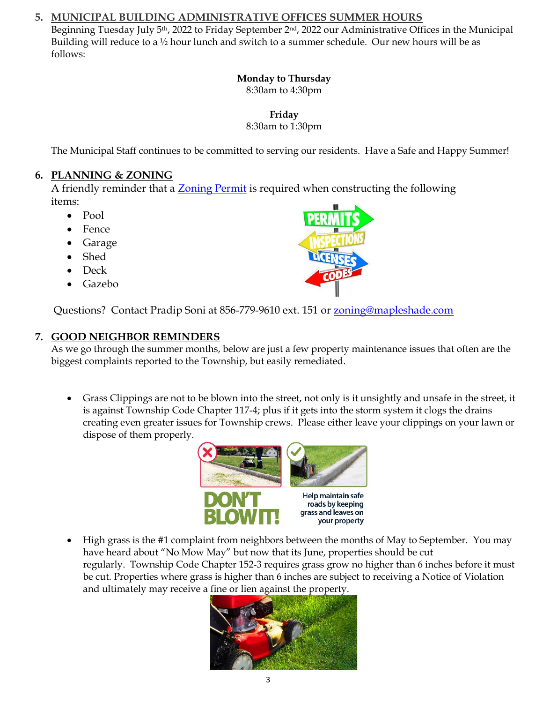## **5. MUNICIPAL BUILDING ADMINISTRATIVE OFFICES SUMMER HOURS**

Beginning Tuesday July 5<sup>th</sup>, 2022 to Friday September 2<sup>nd</sup>, 2022 our Administrative Offices in the Municipal Building will reduce to a ½ hour lunch and switch to a summer schedule. Our new hours will be as follows:

#### **Monday to Thursday**

8:30am to 4:30pm

**Friday**

8:30am to 1:30pm

The Municipal Staff continues to be committed to serving our residents. Have a Safe and Happy Summer!

## **6. PLANNING & ZONING**

A friendly reminder that a [Zoning Permit](https://mapleshade.com/wp-content/uploads/2020/10/ZONINGPERMITFORM-2019-Website.pdf) is required when constructing the following items:

- Pool
- Fence
- Garage
- Shed
- Deck
- Gazebo



Questions? Contact Pradip Soni at 856-779-9610 ext. 151 or [zoning@mapleshade.com](mailto:zoning@mapleshade.com)

# **7. GOOD NEIGHBOR REMINDERS**

As we go through the summer months, below are just a few property maintenance issues that often are the biggest complaints reported to the Township, but easily remediated.

• Grass Clippings are not to be blown into the street, not only is it unsightly and unsafe in the street, it is against Township Code Chapter 117-4; plus if it gets into the storm system it clogs the drains creating even greater issues for Township crews. Please either leave your clippings on your lawn or dispose of them properly.



• High grass is the #1 complaint from neighbors between the months of May to September. You may have heard about "No Mow May" but now that its June, properties should be cut regularly. Township Code Chapter 152-3 requires grass grow no higher than 6 inches before it must be cut. Properties where grass is higher than 6 inches are subject to receiving a Notice of Violation and ultimately may receive a fine or lien against the property.

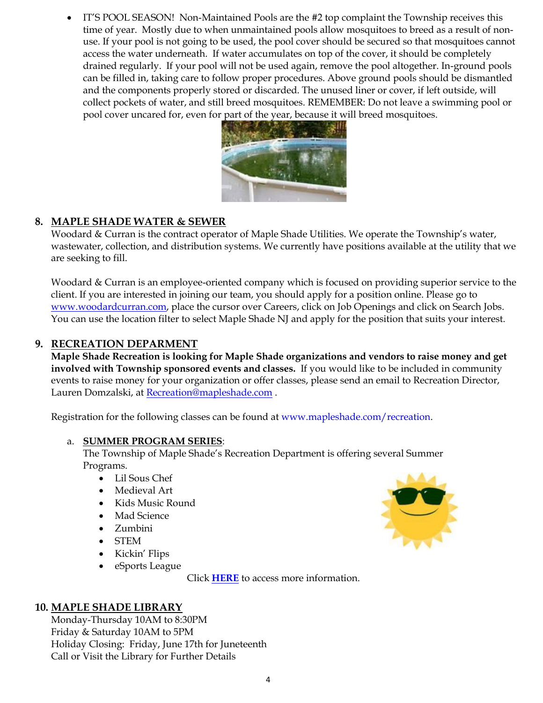• IT'S POOL SEASON! Non-Maintained Pools are the #2 top complaint the Township receives this time of year. Mostly due to when unmaintained pools allow mosquitoes to breed as a result of nonuse. If your pool is not going to be used, the pool cover should be secured so that mosquitoes cannot access the water underneath. If water accumulates on top of the cover, it should be completely drained regularly. If your pool will not be used again, remove the pool altogether. In-ground pools can be filled in, taking care to follow proper procedures. Above ground pools should be dismantled and the components properly stored or discarded. The unused liner or cover, if left outside, will collect pockets of water, and still breed mosquitoes. REMEMBER: Do not leave a swimming pool or pool cover uncared for, even for part of the year, because it will breed mosquitoes.



## **8. MAPLE SHADE WATER & SEWER**

Woodard & Curran is the contract operator of Maple Shade Utilities. We operate the Township's water, wastewater, collection, and distribution systems. We currently have positions available at the utility that we are seeking to fill.

Woodard & Curran is an employee-oriented company which is focused on providing superior service to the client. If you are interested in joining our team, you should apply for a position online. Please go to [www.woodardcurran.com,](http://www.woodardcurran.com/) place the cursor over Careers, click on Job Openings and click on Search Jobs. You can use the location filter to select Maple Shade NJ and apply for the position that suits your interest.

## **9. RECREATION DEPARMENT**

**Maple Shade Recreation is looking for Maple Shade organizations and vendors to raise money and get involved with Township sponsored events and classes.** If you would like to be included in community events to raise money for your organization or offer classes, please send an email to Recreation Director, Lauren Domzalski, at [Recreation@mapleshade.com](mailto:Recreation@mapleshade.com) .

Registration for the following classes can be found at [www.mapleshade.com/recreation.](http://www.mapleshade.com/recreation)

#### a. **SUMMER PROGRAM SERIES**:

The Township of Maple Shade's Recreation Department is offering several Summer Programs.

- Lil Sous Chef
- Medieval Art
- Kids Music Round
- Mad Science
- Zumbini
- **STEM**
- Kickin' Flips
- eSports League

Click **[HERE](https://mapleshade.com/parks-recreation/)** to access more information.

#### **10. MAPLE SHADE LIBRARY**

Monday-Thursday 10AM to 8:30PM Friday & Saturday 10AM to 5PM Holiday Closing: Friday, June 17th for Juneteenth Call or Visit the Library for Further Details

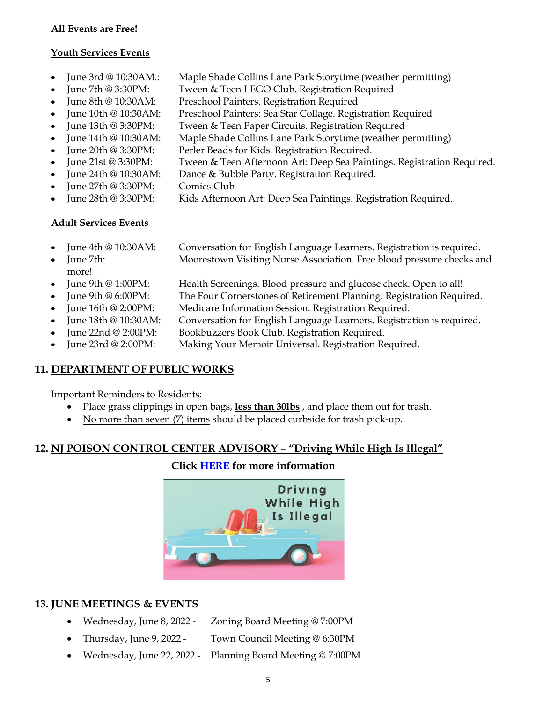#### **All Events are Free!**

#### **Youth Services Events**

- June 3rd @ 10:30AM.: Maple Shade Collins Lane Park Storytime (weather permitting)
- June 7th @ 3:30PM: Tween & Teen LEGO Club. Registration Required
- June 8th @ 10:30AM: Preschool Painters. Registration Required
- June 10th @ 10:30AM: Preschool Painters: Sea Star Collage. Registration Required
	- June 13th @ 3:30PM: Tween & Teen Paper Circuits. Registration Required
- June 14th @ 10:30AM: Maple Shade Collins Lane Park Storytime (weather permitting)
- June 20th @ 3:30PM: Perler Beads for Kids. Registration Required.
- June 21st @ 3:30PM: Tween & Teen Afternoon Art: Deep Sea Paintings. Registration Required.
	- June 24th @ 10:30AM: Dance & Bubble Party. Registration Required.
- June 27th @ 3:30PM: Comics Club
- June 28th @ 3:30PM: Kids Afternoon Art: Deep Sea Paintings. Registration Required.

#### **Adult Services Events**

- June 4th @ 10:30AM: Conversation for English Language Learners. Registration is required.
- June 7th: Moorestown Visiting Nurse Association. Free blood pressure checks and more!
- June 9th @ 1:00PM: Health Screenings. Blood pressure and glucose check. Open to all!
- June 9th @ 6:00PM: The Four Cornerstones of Retirement Planning. Registration Required.
	- June 16th @ 2:00PM: Medicare Information Session. Registration Required.
- June 18th @ 10:30AM: Conversation for English Language Learners. Registration is required.
- June 22nd @ 2:00PM: Bookbuzzers Book Club. Registration Required.
- June 23rd @ 2:00PM: Making Your Memoir Universal. Registration Required.

# **11. DEPARTMENT OF PUBLIC WORKS**

#### Important Reminders to Residents:

- Place grass clippings in open bags, **less than 30lbs**., and place them out for trash.
- No more than seven (7) items should be placed curbside for trash pick-up.

# **12. NJ POISON CONTROL CENTER ADVISORY – "Driving While High Is Illegal"**

## **Click [HERE](https://www.njpies.org/wp-content/uploads/2022/05/Driving-While-High-Is-Illegal-Health-Advisory_Website.pdf) for more information**



# **13. JUNE MEETINGS & EVENTS**

- Wednesday, June 8, 2022 Zoning Board Meeting @ 7:00PM
- Thursday, June 9, 2022 Town Council Meeting @ 6:30PM
- Wednesday, June 22, 2022 Planning Board Meeting @ 7:00PM